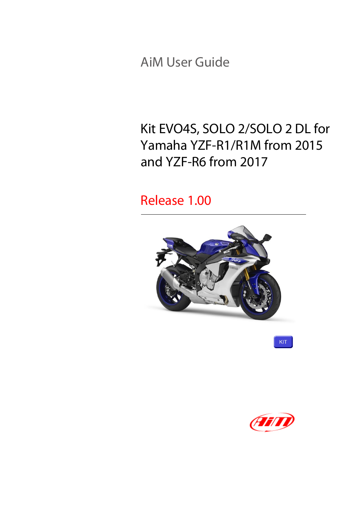AiM User Guide

#### Kit EVO4S, SOLO 2/SOLO 2 DL for Yamaha YZF-R1/R1M from 2015 and YZF-R6 from 2017

#### Release 1.00



KIT

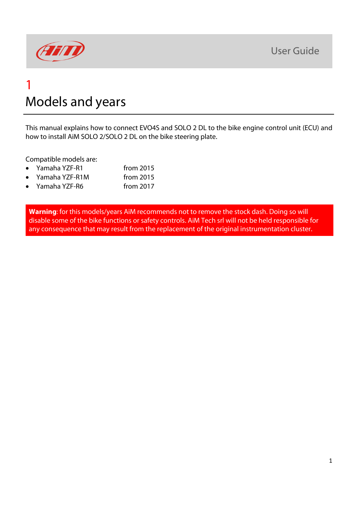

#### 1 Models and years

This manual explains how to connect EVO4S and SOLO 2 DL to the bike engine control unit (ECU) and how to install AiM SOLO 2/SOLO 2 DL on the bike steering plate.

Compatible models are:

- Yamaha YZF-R1 from 2015
- Yamaha YZF-R1M from 2015
- Yamaha YZF-R6 from 2017

**Warning**: for this models/years AiM recommends not to remove the stock dash. Doing so will disable some of the bike functions or safety controls. AiM Tech srl will not be held responsible for any consequence that may result from the replacement of the original instrumentation cluster.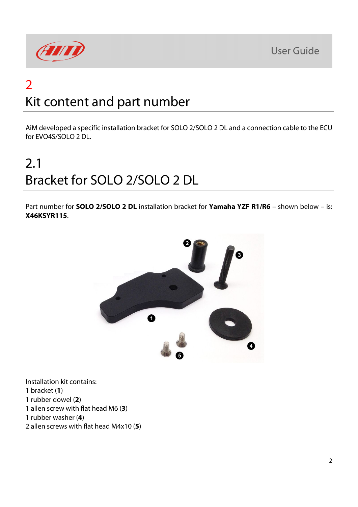

### 2 Kit content and part number

AiM developed a specific installation bracket for SOLO 2/SOLO 2 DL and a connection cable to the ECU for EVO4S/SOLO 2 DL.

# 2.1 Bracket for SOLO 2/SOLO 2 DL

Part number for **SOLO 2/SOLO 2 DL** installation bracket for **Yamaha YZF R1/R6** – shown below – is: **X46KSYR115**.



Installation kit contains: 1 bracket (**1**) 1 rubber dowel (**2**) 1 allen screw with flat head M6 (**3**) 1 rubber washer (**4**)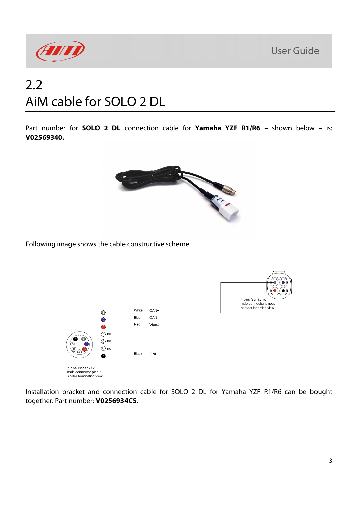

#### 2.2 AiM cable for SOLO 2 DL

Part number for **SOLO 2 DL** connection cable for **Yamaha YZF R1/R6** – shown below – is: **V02569340.**



Following image shows the cable constructive scheme.



7 pins Binder 712<br>male connector pinout<br>solder termination view

Installation bracket and connection cable for SOLO 2 DL for Yamaha YZF R1/R6 can be bought together. Part number: **V0256934CS.**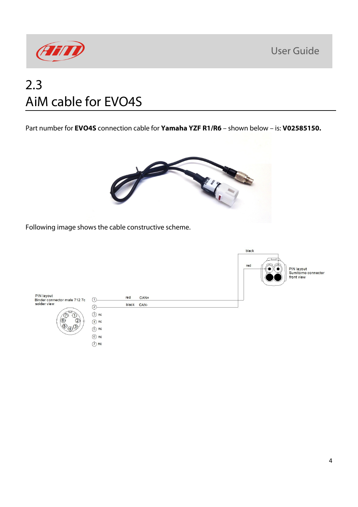

#### 2.3 AiM cable for EVO4S

Part number for **EVO4S** connection cable for **Yamaha YZF R1/R6** – shown below – is: **V02585150.**



Following image shows the cable constructive scheme.

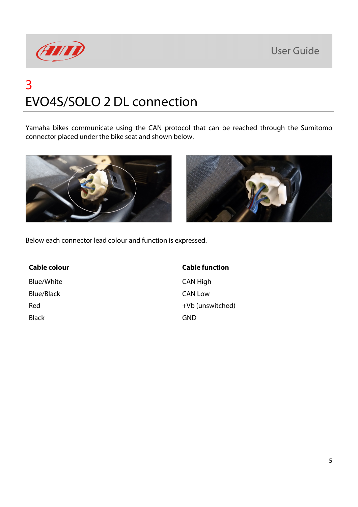

# 3 EVO4S/SOLO 2 DL connection

Yamaha bikes communicate using the CAN protocol that can be reached through the Sumitomo connector placed under the bike seat and shown below.





Below each connector lead colour and function is expressed.

Blue/White CAN High Blue/Black CAN Low Black GND GND GND

#### **Cable colour Cable function**

Red +Vb (unswitched)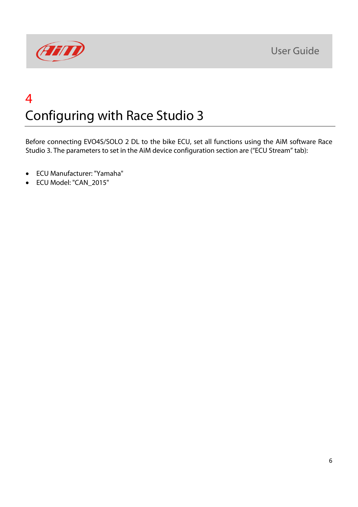

## 4 Configuring with Race Studio 3

Before connecting EVO4S/SOLO 2 DL to the bike ECU, set all functions using the AiM software Race Studio 3. The parameters to set in the AiM device configuration section are ("ECU Stream" tab):

- ECU Manufacturer: "Yamaha"
- ECU Model: "CAN\_2015"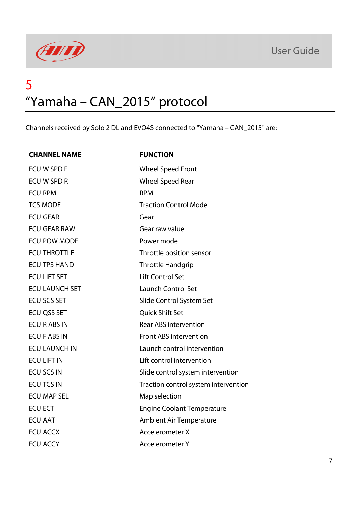



#### 5 "Yamaha – CAN\_2015" protocol

Channels received by Solo 2 DL and EVO4S connected to "Yamaha – CAN\_2015" are:

| <b>CHANNEL NAME</b>   | <b>FUNCTION</b>                      |
|-----------------------|--------------------------------------|
| ECU W SPD F           | <b>Wheel Speed Front</b>             |
| <b>ECU W SPD R</b>    | <b>Wheel Speed Rear</b>              |
| <b>ECU RPM</b>        | <b>RPM</b>                           |
| <b>TCS MODE</b>       | <b>Traction Control Mode</b>         |
| <b>ECU GEAR</b>       | Gear                                 |
| <b>ECU GEAR RAW</b>   | Gear raw value                       |
| <b>ECU POW MODE</b>   | Power mode                           |
| <b>ECU THROTTLE</b>   | Throttle position sensor             |
| <b>ECU TPS HAND</b>   | <b>Throttle Handgrip</b>             |
| <b>ECU LIFT SET</b>   | <b>Lift Control Set</b>              |
| <b>ECU LAUNCH SET</b> | <b>Launch Control Set</b>            |
| <b>ECU SCS SET</b>    | Slide Control System Set             |
| ECU QSS SET           | Quick Shift Set                      |
| <b>ECU R ABS IN</b>   | <b>Rear ABS intervention</b>         |
| <b>ECU F ABS IN</b>   | <b>Front ABS intervention</b>        |
| <b>ECU LAUNCH IN</b>  | Launch control intervention          |
| <b>ECU LIFT IN</b>    | Lift control intervention            |
| <b>ECU SCS IN</b>     | Slide control system intervention    |
| <b>ECU TCS IN</b>     | Traction control system intervention |
| <b>ECU MAP SEL</b>    | Map selection                        |
| <b>ECU ECT</b>        | <b>Engine Coolant Temperature</b>    |
| <b>ECU AAT</b>        | <b>Ambient Air Temperature</b>       |
| <b>ECU ACCX</b>       | <b>Accelerometer X</b>               |
| <b>ECU ACCY</b>       | <b>Accelerometer Y</b>               |